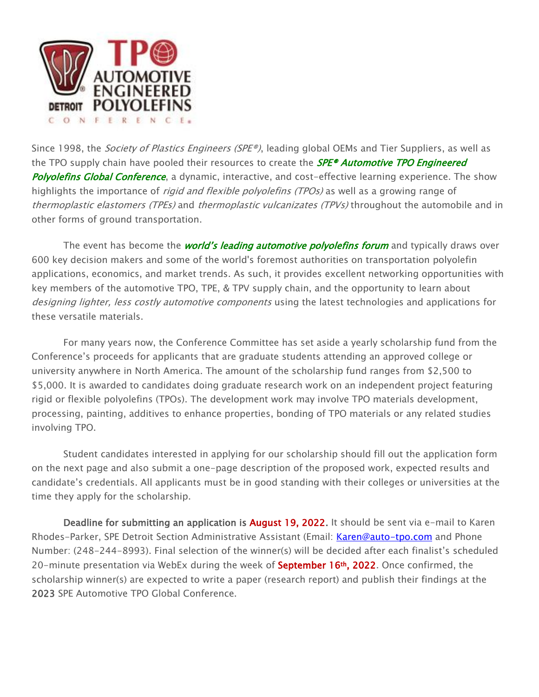

Since 1998, the Society of Plastics Engineers (SPE®), leading global OEMs and Tier Suppliers, as well as the TPO supply chain have pooled their resources to create the **SPE® Automotive TPO Engineered** Polyolefins Global Conference, a dynamic, interactive, and cost-effective learning experience. The show highlights the importance of *rigid and flexible polyolefins (TPOs)* as well as a growing range of thermoplastic elastomers (TPEs) and thermoplastic vulcanizates (TPVs) throughout the automobile and in other forms of ground transportation.

The event has become the *world's leading automotive polyolefins forum* and typically draws over 600 key decision makers and some of the world's foremost authorities on transportation polyolefin applications, economics, and market trends. As such, it provides excellent networking opportunities with key members of the automotive TPO, TPE, & TPV supply chain, and the opportunity to learn about designing lighter, less costly automotive components using the latest technologies and applications for these versatile materials.

For many years now, the Conference Committee has set aside a yearly scholarship fund from the Conference's proceeds for applicants that are graduate students attending an approved college or university anywhere in North America. The amount of the scholarship fund ranges from \$2,500 to \$5,000. It is awarded to candidates doing graduate research work on an independent project featuring rigid or flexible polyolefins (TPOs). The development work may involve TPO materials development, processing, painting, additives to enhance properties, bonding of TPO materials or any related studies involving TPO.

Student candidates interested in applying for our scholarship should fill out the application form on the next page and also submit a one-page description of the proposed work, expected results and candidate's credentials. All applicants must be in good standing with their colleges or universities at the time they apply for the scholarship.

Deadline for submitting an application is August 19, 2022. It should be sent via e-mail to Karen Rhodes-Parker, SPE Detroit Section Administrative Assistant (Email: Karen@auto-tpo.com and Phone Number: (248-244-8993). Final selection of the winner(s) will be decided after each finalist's scheduled 20-minute presentation via WebEx during the week of **September 16<sup>th</sup>, 2022**. Once confirmed, the scholarship winner(s) are expected to write a paper (research report) and publish their findings at the 2023 SPE Automotive TPO Global Conference.